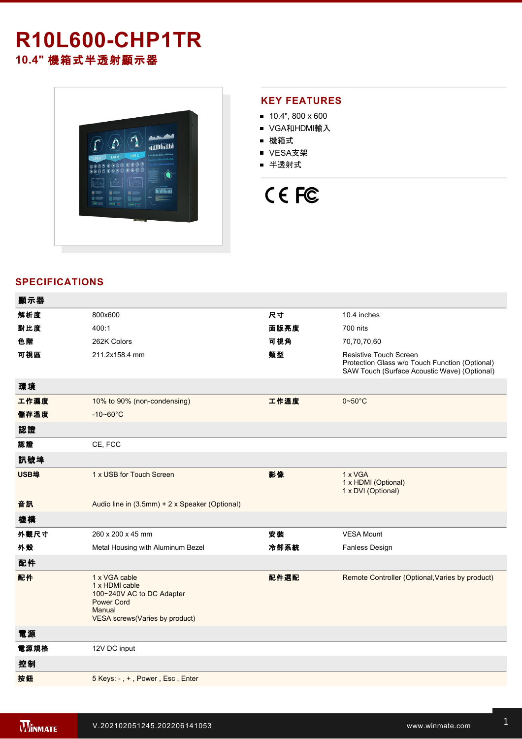# **R10L600CHP1TR 10.4"** 機箱式半透射顯示器



### **KEY FEATURES**

- $10.4$ ", 800 x 600
- VGA和HDMI輸入
- 機箱式
- VESA支架
- 半透射式

# CE FC

## **SPECIFICATIONS**

| 顯示器  |                                                                                                                               |      |                                                                                                                                 |
|------|-------------------------------------------------------------------------------------------------------------------------------|------|---------------------------------------------------------------------------------------------------------------------------------|
| 解析度  | 800x600                                                                                                                       | 尺寸   | 10.4 inches                                                                                                                     |
| 對比度  | 400:1                                                                                                                         | 面版亮度 | 700 nits                                                                                                                        |
| 色階   | 262K Colors                                                                                                                   | 可視角  | 70,70,70,60                                                                                                                     |
| 可視區  | 211.2x158.4 mm                                                                                                                | 類型   | <b>Resistive Touch Screen</b><br>Protection Glass w/o Touch Function (Optional)<br>SAW Touch (Surface Acoustic Wave) (Optional) |
| 環境   |                                                                                                                               |      |                                                                                                                                 |
| 工作濕度 | 10% to 90% (non-condensing)                                                                                                   | 工作溫度 | $0 - 50^{\circ}$ C                                                                                                              |
| 儲存溫度 | $-10 - 60^{\circ}C$                                                                                                           |      |                                                                                                                                 |
| 認證   |                                                                                                                               |      |                                                                                                                                 |
| 認證   | CE, FCC                                                                                                                       |      |                                                                                                                                 |
| 訊號埠  |                                                                                                                               |      |                                                                                                                                 |
| USB埠 | 1 x USB for Touch Screen                                                                                                      | 影像   | 1 x VGA<br>1 x HDMI (Optional)<br>1 x DVI (Optional)                                                                            |
| 音訊   | Audio line in (3.5mm) + 2 x Speaker (Optional)                                                                                |      |                                                                                                                                 |
| 機構   |                                                                                                                               |      |                                                                                                                                 |
| 外觀尺寸 | 260 x 200 x 45 mm                                                                                                             | 安装   | <b>VESA Mount</b>                                                                                                               |
| 外殼   | Metal Housing with Aluminum Bezel                                                                                             | 冷卻系統 | Fanless Design                                                                                                                  |
| 配件   |                                                                                                                               |      |                                                                                                                                 |
| 配件   | 1 x VGA cable<br>1 x HDMI cable<br>100~240V AC to DC Adapter<br><b>Power Cord</b><br>Manual<br>VESA screws(Varies by product) | 配件選配 | Remote Controller (Optional, Varies by product)                                                                                 |
| 電源   |                                                                                                                               |      |                                                                                                                                 |
| 電源規格 | 12V DC input                                                                                                                  |      |                                                                                                                                 |
| 控制   |                                                                                                                               |      |                                                                                                                                 |
| 按鈕   | 5 Keys: -, +, Power, Esc, Enter                                                                                               |      |                                                                                                                                 |
|      |                                                                                                                               |      |                                                                                                                                 |

**DIMENSIONS**  UNIT:MM